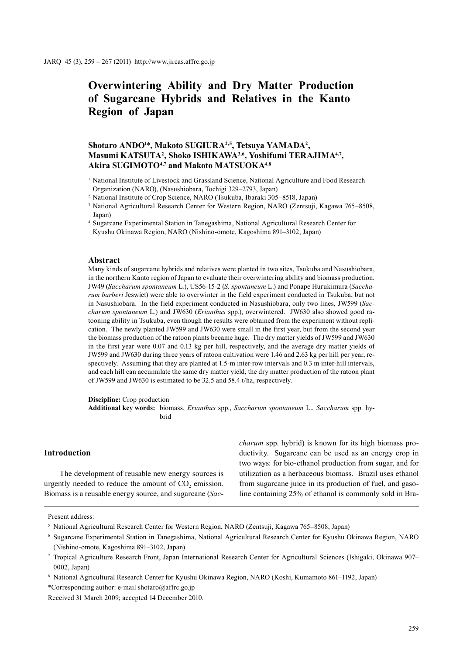# **Overwintering Ability and Dry Matter Production of Sugarcane Hybrids and Relatives in the Kanto Region of Japan**

# **Shotaro ANDO1** \***, Makoto SUGIURA2,5, Tetsuya YAMADA2 , Masumi KATSUTA2 , Shoko ISHIKAWA3,6, Yoshifumi TERAJIMA4,7, Akira SUGIMOTO4,7 and Makoto MATSUOKA4,8**

<sup>3</sup> National Agricultural Research Center for Western Region, NARO (Zentsuji, Kagawa 765–8508, Japan)

## **Abstract**

Many kinds of sugarcane hybrids and relatives were planted in two sites, Tsukuba and Nasushiobara, in the northern Kanto region of Japan to evaluate their overwintering ability and biomass production. JW49 (*Saccharum spontaneum* L.), US56-15-2 (*S. spontaneum* L.) and Ponape Hurukimura (*Saccharum barberi* Jeswiet) were able to overwinter in the field experiment conducted in Tsukuba, but not in Nasushiobara. In the field experiment conducted in Nasushiobara, only two lines, JW599 (*Saccharum spontaneum* L.) and JW630 (*Erianthus* spp.), overwintered. JW630 also showed good ratooning ability in Tsukuba, even though the results were obtained from the experiment without replication. The newly planted JW599 and JW630 were small in the first year, but from the second year the biomass production of the ratoon plants became huge. The dry matter yields of JW599 and JW630 in the first year were 0.07 and 0.13 kg per hill, respectively, and the average dry matter yields of JW599 and JW630 during three years of ratoon cultivation were 1.46 and 2.63 kg per hill per year, respectively. Assuming that they are planted at 1.5-m inter-row intervals and 0.3 m inter-hill intervals, and each hill can accumulate the same dry matter yield, the dry matter production of the ratoon plant of JW599 and JW630 is estimated to be 32.5 and 58.4 t/ha, respectively.

**Discipline:** Crop production **Additional key words:** biomass, *Erianthus* spp., *Saccharum spontaneum* L., *Saccharum* spp. hybrid

#### **Introduction**

The development of reusable new energy sources is urgently needed to reduce the amount of  $CO<sub>2</sub>$  emission. Biomass is a reusable energy source, and sugarcane (*Sac-* *charum* spp. hybrid) is known for its high biomass productivity. Sugarcane can be used as an energy crop in two ways: for bio-ethanol production from sugar, and for utilization as a herbaceous biomass. Brazil uses ethanol from sugarcane juice in its production of fuel, and gasoline containing 25% of ethanol is commonly sold in Bra-

Present address:

<sup>&</sup>lt;sup>1</sup> National Institute of Livestock and Grassland Science, National Agriculture and Food Research Organization (NARO), (Nasushiobara, Tochigi 329–2793, Japan)

<sup>2</sup> National Institute of Crop Science, NARO (Tsukuba, Ibaraki 305–8518, Japan)

<sup>4</sup> Sugarcane Experimental Station in Tanegashima, National Agricultural Research Center for Kyushu Okinawa Region, NARO (Nishino-omote, Kagoshima 891–3102, Japan)

<sup>5</sup> National Agricultural Research Center for Western Region, NARO (Zentsuji, Kagawa 765–8508, Japan)

<sup>6</sup> Sugarcane Experimental Station in Tanegashima, National Agricultural Research Center for Kyushu Okinawa Region, NARO (Nishino-omote, Kagoshima 891–3102, Japan)

<sup>7</sup> Tropical Agriculture Research Front, Japan International Research Center for Agricultural Sciences (Ishigaki, Okinawa 907– 0002, Japan)

<sup>8</sup> National Agricultural Research Center for Kyushu Okinawa Region, NARO (Koshi, Kumamoto 861–1192, Japan)

<sup>\*</sup>Corresponding author: e-mail shotaro@affrc.go.jp

Received 31 March 2009; accepted 14 December 2010.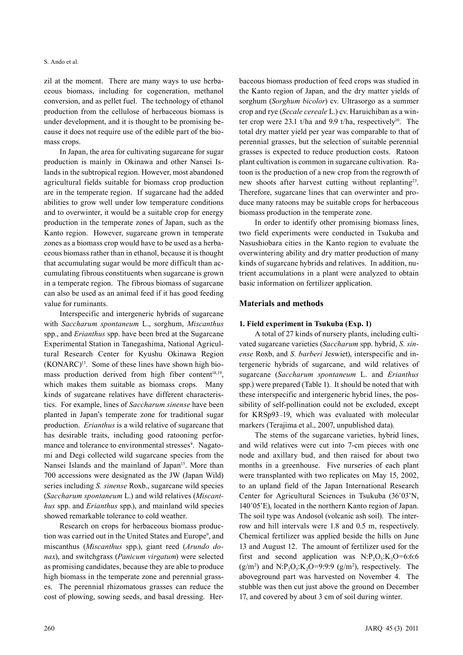#### S. Ando et al.

zil at the moment. There are many ways to use herbaceous biomass, including for cogeneration, methanol conversion, and as pellet fuel. The technology of ethanol production from the cellulose of herbaceous biomass is under development, and it is thought to be promising because it does not require use of the edible part of the biomass crops.

In Japan, the area for cultivating sugarcane for sugar production is mainly in Okinawa and other Nansei Islands in the subtropical region. However, most abandoned agricultural fields suitable for biomass crop production are in the temperate region. If sugarcane had the added abilities to grow well under low temperature conditions and to overwinter, it would be a suitable crop for energy production in the temperate zones of Japan, such as the Kanto region. However, sugarcane grown in temperate zones as a biomass crop would have to be used as a herbaceous biomass rather than in ethanol, because it is thought that accumulating sugar would be more difficult than accumulating fibrous constituents when sugarcane is grown in a temperate region. The fibrous biomass of sugarcane can also be used as an animal feed if it has good feeding value for ruminants.

Interspecific and intergeneric hybrids of sugarcane with *Saccharum spontaneum* L., sorghum, *Miscanthus* spp., and *Erianthus* spp. have been bred at the Sugarcane Experimental Station in Tanegashima, National Agricultural Research Center for Kyushu Okinawa Region  $(KONARC)^{13}$ . Some of these lines have shown high biomass production derived from high fiber content<sup>18,19</sup>, which makes them suitable as biomass crops. Many kinds of sugarcane relatives have different characteristics. For example, lines of *Saccharum sinense* have been planted in Japan's temperate zone for traditional sugar production. *Erianthus* is a wild relative of sugarcane that has desirable traits, including good ratooning performance and tolerance to environmental stresses<sup>4</sup>. Nagatomi and Degi collected wild sugarcane species from the Nansei Islands and the mainland of Japan<sup>15</sup>. More than 700 accessions were designated as the JW (Japan Wild) series including *S. sinense* Roxb., sugarcane wild species (*Saccharum spontaneum* L.) and wild relatives (*Miscanthus* spp. and *Erianthus* spp.), and mainland wild species showed remarkable tolerance to cold weather.

Research on crops for herbaceous biomass production was carried out in the United States and Europe<sup>9</sup>, and miscanthus (*Miscanthus* spp.), giant reed (*Arundo donax*), and switchgrass (*Panicum virgatum*) were selected as promising candidates, because they are able to produce high biomass in the temperate zone and perennial grasses. The perennial rhizomatous grasses can reduce the cost of plowing, sowing seeds, and basal dressing. Herbaceous biomass production of feed crops was studied in the Kanto region of Japan, and the dry matter yields of sorghum (*Sorghum bicolor*) cv. Ultrasorgo as a summer crop and rye (*Secale cereale* L.) cv. Haruichiban as a winter crop were  $23.1$  t/ha and  $9.9$  t/ha, respectively<sup>10</sup>. The total dry matter yield per year was comparable to that of perennial grasses, but the selection of suitable perennial grasses is expected to reduce production costs. Ratoon plant cultivation is common in sugarcane cultivation. Ratoon is the production of a new crop from the regrowth of new shoots after harvest cutting without replanting<sup>23</sup>. Therefore, sugarcane lines that can overwinter and produce many ratoons may be suitable crops for herbaceous biomass production in the temperate zone.

In order to identify other promising biomass lines, two field experiments were conducted in Tsukuba and Nasushiobara cities in the Kanto region to evaluate the overwintering ability and dry matter production of many kinds of sugarcane hybrids and relatives. In addition, nutrient accumulations in a plant were analyzed to obtain basic information on fertilizer application.

## **Materials and methods**

#### **1. Field experiment in Tsukuba (Exp. 1)**

A total of 27 kinds of nursery plants, including cultivated sugarcane varieties (*Saccharum* spp. hybrid, *S. sinense* Roxb, and *S. barberi* Jeswiet), interspecific and intergeneric hybrids of sugarcane, and wild relatives of sugarcane (*Saccharum spontaneum* L. and *Erianthus*  spp.) were prepared (Table 1). It should be noted that with these interspecific and intergeneric hybrid lines, the possibility of self-pollination could not be excluded, except for KRSp93–19, which was evaluated with molecular markers (Terajima et al., 2007, unpublished data).

The stems of the sugarcane varieties, hybrid lines, and wild relatives were cut into 7-cm pieces with one node and axillary bud, and then raised for about two months in a greenhouse. Five nurseries of each plant were transplanted with two replicates on May 15, 2002, to an upland field of the Japan International Research Center for Agricultural Sciences in Tsukuba (36˚03'N, 140˚05'E), located in the northern Kanto region of Japan. The soil type was Andosol (volcanic ash soil). The interrow and hill intervals were 1.8 and 0.5 m, respectively. Chemical fertilizer was applied beside the hills on June 13 and August 12. The amount of fertilizer used for the first and second application was  $N: P_2O, K_2O=6:6:6$  $(g/m<sup>2</sup>)$  and N:P<sub>2</sub>O<sub>5</sub>:K<sub>2</sub>O=9:9:9  $(g/m<sup>2</sup>)$ , respectively. The aboveground part was harvested on November 4. The stubble was then cut just above the ground on December 17, and covered by about 3 cm of soil during winter.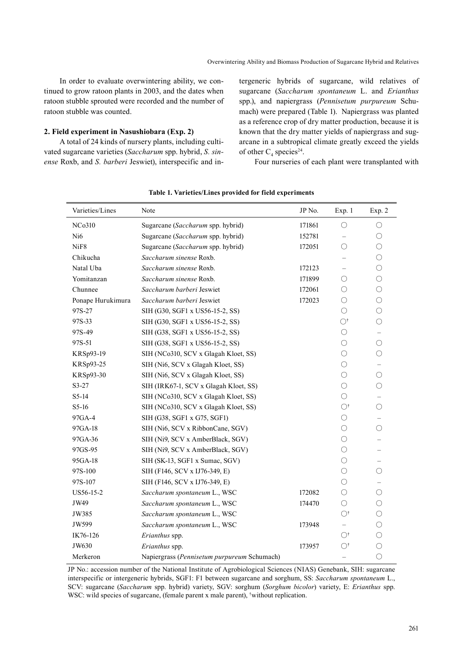In order to evaluate overwintering ability, we continued to grow ratoon plants in 2003, and the dates when ratoon stubble sprouted were recorded and the number of ratoon stubble was counted.

## **2. Field experiment in Nasushiobara (Exp. 2)**

A total of 24 kinds of nursery plants, including cultivated sugarcane varieties (*Saccharum* spp. hybrid, *S. sinense* Roxb, and *S. barberi* Jeswiet), interspecific and in-

tergeneric hybrids of sugarcane, wild relatives of sugarcane (*Saccharum spontaneum* L. and *Erianthus*  spp.), and napiergrass (*Pennisetum purpureum* Schumach) were prepared (Table 1). Napiergrass was planted as a reference crop of dry matter production, because it is known that the dry matter yields of napiergrass and sugarcane in a subtropical climate greatly exceed the yields of other  $C_4$  species<sup>24</sup>.

Four nurseries of each plant were transplanted with

| Varieties/Lines     | Note                                        | JP No. | Exp. 1               | Exp. 2                   |
|---------------------|---------------------------------------------|--------|----------------------|--------------------------|
| NC <sub>0</sub> 310 | Sugarcane (Saccharum spp. hybrid)           | 171861 | $\bigcirc$           | $\bigcirc$               |
| Ni6                 | Sugarcane (Saccharum spp. hybrid)           | 152781 |                      | $\bigcirc$               |
| NiF <sub>8</sub>    | Sugarcane (Saccharum spp. hybrid)           | 172051 | O                    | $\bigcirc$               |
| Chikucha            | Saccharum sinense Roxb.                     |        |                      | $\bigcirc$               |
| Natal Uba           | Saccharum sinense Roxb.                     | 172123 | -                    | $\bigcirc$               |
| Yomitanzan          | Saccharum sinense Roxb.                     | 171899 | ∩                    | $\bigcirc$               |
| Chunnee             | Saccharum barberi Jeswiet                   | 172061 | О                    | $\bigcirc$               |
| Ponape Hurukimura   | Saccharum barberi Jeswiet                   | 172023 | O                    | $\bigcirc$               |
| 97S-27              | SIH (G30, SGF1 x US56-15-2, SS)             |        | $\bigcirc$           | $\bigcirc$               |
| 97S-33              | SIH (G30, SGF1 x US56-15-2, SS)             |        | $\bigcirc^{\dagger}$ | $\bigcirc$               |
| 97S-49              | SIH (G38, SGF1 x US56-15-2, SS)             |        | $\bigcirc$           |                          |
| 97S-51              | SIH (G38, SGF1 x US56-15-2, SS)             |        | $\bigcirc$           | $\bigcirc$               |
| KRSp93-19           | SIH (NCo310, SCV x Glagah Kloet, SS)        |        | $\bigcirc$           | $\bigcirc$               |
| KRSp93-25           | SIH (Ni6, SCV x Glagah Kloet, SS)           |        | O                    |                          |
| KRSp93-30           | SIH (Ni6, SCV x Glagah Kloet, SS)           |        | $\bigcirc$           | $\bigcirc$               |
| S3-27               | SIH (IRK67-1, SCV x Glagah Kloet, SS)       |        | $\bigcirc$           | $\bigcirc$               |
| S5-14               | SIH (NCo310, SCV x Glagah Kloet, SS)        |        | $\bigcirc$           | $\overline{\phantom{0}}$ |
| $S5-16$             | SIH (NCo310, SCV x Glagah Kloet, SS)        |        | $\bigcirc^{\dagger}$ | $\bigcirc$               |
| 97GA-4              | SIH (G38, SGF1 x G75, SGF1)                 |        | $\bigcirc$           |                          |
| 97GA-18             | SIH (Ni6, SCV x RibbonCane, SGV)            |        | $\bigcirc$           | $\bigcirc$               |
| 97GA-36             | SIH (Ni9, SCV x AmberBlack, SGV)            |        | $\bigcirc$           |                          |
| 97GS-95             | SIH (Ni9, SCV x AmberBlack, SGV)            |        | $\bigcirc$           |                          |
| 95GA-18             | SIH (SK-13, SGF1 x Sumac, SGV)              |        | $\bigcirc$           |                          |
| 97S-100             | SIH (F146, SCV x IJ76-349, E)               |        | $\bigcirc$           | $\bigcirc$               |
| 97S-107             | SIH (F146, SCV x IJ76-349, E)               |        | $\bigcirc$           |                          |
| US56-15-2           | Saccharum spontaneum L., WSC                | 172082 | $\bigcirc$           | $\bigcirc$               |
| JW49                | Saccharum spontaneum L., WSC                | 174470 | O                    | $\bigcirc$               |
| JW385               | Saccharum spontaneum L., WSC                |        | O†                   | $\bigcirc$               |
| JW599               | Saccharum spontaneum L., WSC                | 173948 |                      | $\bigcirc$               |
| IK76-126            | Erianthus spp.                              |        | ∩†                   | $\bigcirc$               |
| JW630               | Erianthus spp.                              | 173957 | $\bigcirc^{\dagger}$ | $\bigcirc$               |
| Merkeron            | Napiergrass (Pennisetum purpureum Schumach) |        | $\qquad \qquad -$    | $\bigcirc$               |

# **Table 1. Varieties/Lines provided for field experiments**

JP No.: accession number of the National Institute of Agrobiological Sciences (NIAS) Genebank, SIH: sugarcane interspecific or intergeneric hybrids, SGF1: F1 between sugarcane and sorghum, SS: *Saccharum spontaneum* L., SCV: sugarcane (*Saccharum* spp. hybrid) variety, SGV: sorghum (*Sorghum bicolor*) variety, E: *Erianthus* spp. WSC: wild species of sugarcane, (female parent x male parent), 'without replication.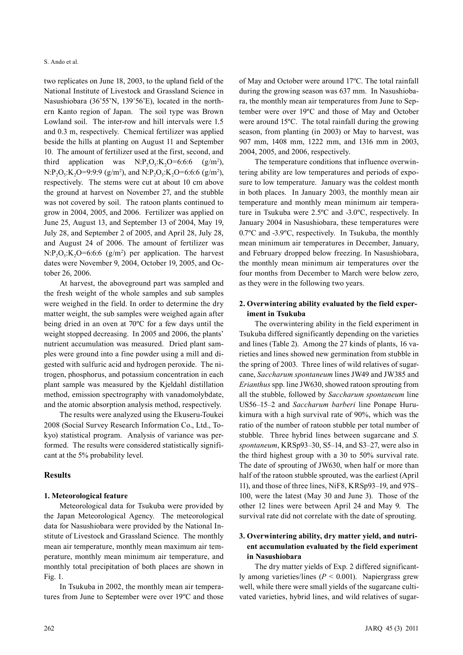two replicates on June 18, 2003, to the upland field of the National Institute of Livestock and Grassland Science in Nasushiobara (36˚55'N, 139˚56'E), located in the northern Kanto region of Japan. The soil type was Brown Lowland soil. The inter-row and hill intervals were 1.5 and 0.3 m, respectively. Chemical fertilizer was applied beside the hills at planting on August 11 and September 10. The amount of fertilizer used at the first, second, and third application was  $N:P_2O_5:K_2O=6:6:6$  $(g/m^2)$ ,  $N: P_2O_5: K_2O=9.9.9$  (g/m<sup>2</sup>), and  $N: P_2O_5: K_2O=6.6.6$  (g/m<sup>2</sup>), respectively. The stems were cut at about 10 cm above the ground at harvest on November 27, and the stubble was not covered by soil. The ratoon plants continued to grow in 2004, 2005, and 2006. Fertilizer was applied on June 25, August 13, and September 13 of 2004, May 19, July 28, and September 2 of 2005, and April 28, July 28, and August 24 of 2006. The amount of fertilizer was  $N: P<sub>2</sub>O<sub>5</sub>: K<sub>2</sub>O=6:6:6 (g/m<sup>2</sup>)$  per application. The harvest dates were November 9, 2004, October 19, 2005, and October 26, 2006.

At harvest, the aboveground part was sampled and the fresh weight of the whole samples and sub samples were weighed in the field. In order to determine the dry matter weight, the sub samples were weighed again after being dried in an oven at 70ºC for a few days until the weight stopped decreasing. In 2005 and 2006, the plants' nutrient accumulation was measured. Dried plant samples were ground into a fine powder using a mill and digested with sulfuric acid and hydrogen peroxide. The nitrogen, phosphorus, and potassium concentration in each plant sample was measured by the Kjeldahl distillation method, emission spectrography with vanadomolybdate, and the atomic absorption analysis method, respectively.

The results were analyzed using the Ekuseru-Toukei 2008 (Social Survey Research Information Co., Ltd., Tokyo) statistical program. Analysis of variance was performed. The results were considered statistically significant at the 5% probability level.

#### **Results**

#### **1. Meteorological feature**

Meteorological data for Tsukuba were provided by the Japan Meteorological Agency. The meteorological data for Nasushiobara were provided by the National Institute of Livestock and Grassland Science. The monthly mean air temperature, monthly mean maximum air temperature, monthly mean minimum air temperature, and monthly total precipitation of both places are shown in Fig. 1.

In Tsukuba in 2002, the monthly mean air temperatures from June to September were over 19ºC and those of May and October were around 17ºC. The total rainfall during the growing season was 637 mm. In Nasushiobara, the monthly mean air temperatures from June to September were over 19ºC and those of May and October were around 15ºC. The total rainfall during the growing season, from planting (in 2003) or May to harvest, was 907 mm, 1408 mm, 1222 mm, and 1316 mm in 2003, 2004, 2005, and 2006, respectively.

The temperature conditions that influence overwintering ability are low temperatures and periods of exposure to low temperature. January was the coldest month in both places. In January 2003, the monthly mean air temperature and monthly mean minimum air temperature in Tsukuba were 2.5ºC and -3.0ºC, respectively. In January 2004 in Nasushiobara, these temperatures were 0.7ºC and -3.9ºC, respectively. In Tsukuba, the monthly mean minimum air temperatures in December, January, and February dropped below freezing. In Nasushiobara, the monthly mean minimum air temperatures over the four months from December to March were below zero, as they were in the following two years.

# **2. Overwintering ability evaluated by the field experiment in Tsukuba**

The overwintering ability in the field experiment in Tsukuba differed significantly depending on the varieties and lines (Table 2). Among the 27 kinds of plants, 16 varieties and lines showed new germination from stubble in the spring of 2003. Three lines of wild relatives of sugarcane, *Saccharum spontaneum* lines JW49 and JW385 and *Erianthus* spp. line JW630, showed ratoon sprouting from all the stubble, followed by *Saccharum spontaneum* line US56–15–2 and *Saccharum barberi* line Ponape Hurukimura with a high survival rate of 90%, which was the ratio of the number of ratoon stubble per total number of stubble. Three hybrid lines between sugarcane and *S. spontaneum*, KRSp93–30, S5–14, and S3–27, were also in the third highest group with a 30 to 50% survival rate. The date of sprouting of JW630, when half or more than half of the ratoon stubble sprouted, was the earliest (April 11), and those of three lines, NiF8, KRSp93–19, and 97S– 100, were the latest (May 30 and June 3). Those of the other 12 lines were between April 24 and May 9. The survival rate did not correlate with the date of sprouting.

# **3. Overwintering ability, dry matter yield, and nutrient accumulation evaluated by the field experiment in Nasushiobara**

The dry matter yields of Exp. 2 differed significantly among varieties/lines (*P* < 0.001). Napiergrass grew well, while there were small yields of the sugarcane cultivated varieties, hybrid lines, and wild relatives of sugar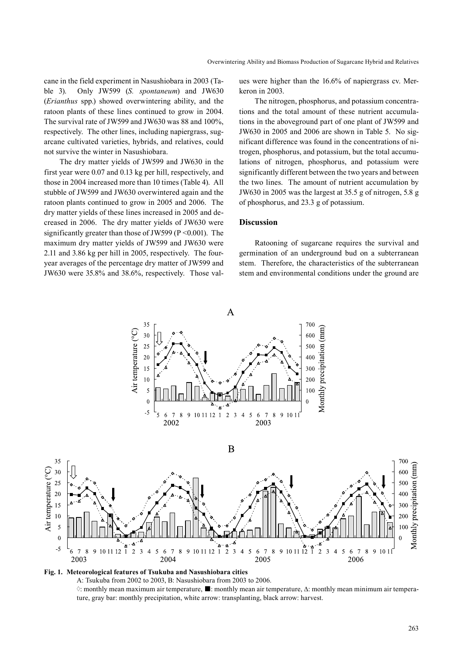cane in the field experiment in Nasushiobara in 2003 (Table 3). Only JW599 (*S. spontaneum*) and JW630 (*Erianthus* spp.) showed overwintering ability, and the ratoon plants of these lines continued to grow in 2004. The survival rate of JW599 and JW630 was 88 and 100%, respectively. The other lines, including napiergrass, sugarcane cultivated varieties, hybrids, and relatives, could not survive the winter in Nasushiobara.

The dry matter yields of JW599 and JW630 in the first year were 0.07 and 0.13 kg per hill, respectively, and those in 2004 increased more than 10 times (Table 4). All stubble of JW599 and JW630 overwintered again and the ratoon plants continued to grow in 2005 and 2006. The dry matter yields of these lines increased in 2005 and decreased in 2006. The dry matter yields of JW630 were significantly greater than those of JW599 (P < 0.001). The maximum dry matter yields of JW599 and JW630 were 2.11 and 3.86 kg per hill in 2005, respectively. The fouryear averages of the percentage dry matter of JW599 and JW630 were 35.8% and 38.6%, respectively. Those values were higher than the 16.6% of napiergrass cv. Merkeron in 2003.

The nitrogen, phosphorus, and potassium concentrations and the total amount of these nutrient accumulations in the aboveground part of one plant of JW599 and JW630 in 2005 and 2006 are shown in Table 5. No significant difference was found in the concentrations of nitrogen, phosphorus, and potassium, but the total accumulations of nitrogen, phosphorus, and potassium were significantly different between the two years and between the two lines. The amount of nutrient accumulation by JW630 in 2005 was the largest at 35.5 g of nitrogen, 5.8 g of phosphorus, and 23.3 g of potassium.

#### **Discussion**

Ratooning of sugarcane requires the survival and germination of an underground bud on a subterranean stem. Therefore, the characteristics of the subterranean stem and environmental conditions under the ground are



 $\mathbf{A}$ 

A: Tsukuba from 2002 to 2003, B: Nasushiobara from 2003 to 2006. ◊: monthly mean maximum air temperature, ■: monthly mean air temperature, ∆: monthly mean minimum air temperature, gray bar: monthly precipitation, white arrow: transplanting, black arrow: harvest.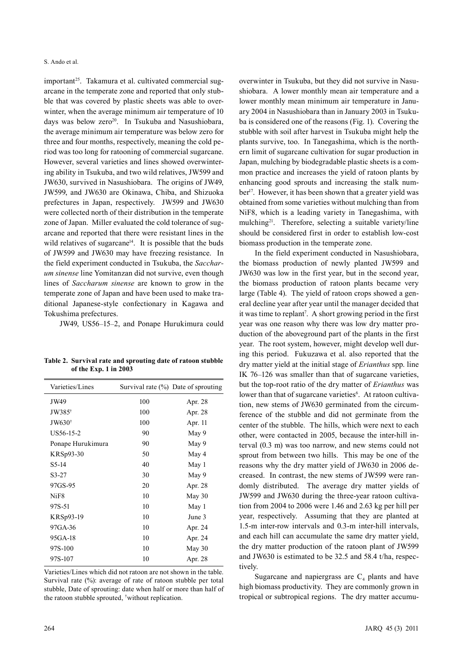#### S. Ando et al.

important<sup>25</sup>. Takamura et al. cultivated commercial sugarcane in the temperate zone and reported that only stubble that was covered by plastic sheets was able to overwinter, when the average minimum air temperature of 10 days was below zero<sup>20</sup>. In Tsukuba and Nasushiobara, the average minimum air temperature was below zero for three and four months, respectively, meaning the cold period was too long for ratooning of commercial sugarcane. However, several varieties and lines showed overwintering ability in Tsukuba, and two wild relatives, JW599 and JW630, survived in Nasushiobara. The origins of JW49, JW599, and JW630 are Okinawa, Chiba, and Shizuoka prefectures in Japan, respectively. JW599 and JW630 were collected north of their distribution in the temperate zone of Japan. Miller evaluated the cold tolerance of sugarcane and reported that there were resistant lines in the wild relatives of sugarcane<sup>14</sup>. It is possible that the buds of JW599 and JW630 may have freezing resistance. In the field experiment conducted in Tsukuba, the *Saccharum sinense* line Yomitanzan did not survive, even though lines of *Saccharum sinense* are known to grow in the temperate zone of Japan and have been used to make traditional Japanese-style confectionary in Kagawa and Tokushima prefectures.

JW49, US56–15–2, and Ponape Hurukimura could

**Table 2. Survival rate and sprouting date of ratoon stubble of the Exp. 1 in 2003**

| Varieties/Lines    |     | Survival rate $(\%)$ Date of sprouting |
|--------------------|-----|----------------------------------------|
| JW49               | 100 | Apr. 28                                |
| JW385 <sup>†</sup> | 100 | Apr. 28                                |
| JW630 <sup>†</sup> | 100 | Apr. 11                                |
| US56-15-2          | 90  | May 9                                  |
| Ponape Hurukimura  | 90  | May 9                                  |
| KRSp93-30          | 50  | May 4                                  |
| $S5-14$            | 40  | May 1                                  |
| $S3-27$            | 30  | May 9                                  |
| 97GS-95            | 20  | Apr. 28                                |
| NiF8               | 10  | May 30                                 |
| 97S-51             | 10  | May 1                                  |
| KRSp93-19          | 10  | June 3                                 |
| 97GA-36            | 10  | Apr. 24                                |
| 95GA-18            | 10  | Apr. 24                                |
| 97S-100            | 10  | May 30                                 |
| 97S-107            | 10  | Apr. 28                                |

Varieties/Lines which did not ratoon are not shown in the table. Survival rate (%): average of rate of ratoon stubble per total stubble, Date of sprouting: date when half or more than half of the ratoon stubble sprouted, † without replication.

overwinter in Tsukuba, but they did not survive in Nasushiobara. A lower monthly mean air temperature and a lower monthly mean minimum air temperature in January 2004 in Nasushiobara than in January 2003 in Tsukuba is considered one of the reasons (Fig. 1). Covering the stubble with soil after harvest in Tsukuba might help the plants survive, too. In Tanegashima, which is the northern limit of sugarcane cultivation for sugar production in Japan, mulching by biodegradable plastic sheets is a common practice and increases the yield of ratoon plants by enhancing good sprouts and increasing the stalk number<sup>17</sup>. However, it has been shown that a greater yield was obtained from some varieties without mulching than from NiF8, which is a leading variety in Tanegashima, with mulching21. Therefore, selecting a suitable variety/line should be considered first in order to establish low-cost biomass production in the temperate zone.

In the field experiment conducted in Nasushiobara, the biomass production of newly planted JW599 and JW630 was low in the first year, but in the second year, the biomass production of ratoon plants became very large (Table 4). The yield of ratoon crops showed a general decline year after year until the manager decided that it was time to replant<sup>7</sup>. A short growing period in the first year was one reason why there was low dry matter production of the aboveground part of the plants in the first year. The root system, however, might develop well during this period. Fukuzawa et al. also reported that the dry matter yield at the initial stage of *Erianthus* spp. line IK 76–126 was smaller than that of sugarcane varieties, but the top-root ratio of the dry matter of *Erianthus* was lower than that of sugarcane varieties<sup>6</sup>. At ratoon cultivation, new stems of JW630 germinated from the circumference of the stubble and did not germinate from the center of the stubble. The hills, which were next to each other, were contacted in 2005, because the inter-hill interval (0.3 m) was too narrow, and new stems could not sprout from between two hills. This may be one of the reasons why the dry matter yield of JW630 in 2006 decreased. In contrast, the new stems of JW599 were randomly distributed. The average dry matter yields of JW599 and JW630 during the three-year ratoon cultivation from 2004 to 2006 were 1.46 and 2.63 kg per hill per year, respectively. Assuming that they are planted at 1.5-m inter-row intervals and 0.3-m inter-hill intervals, and each hill can accumulate the same dry matter yield, the dry matter production of the ratoon plant of JW599 and JW630 is estimated to be 32.5 and 58.4 t/ha, respectively.

Sugarcane and napiergrass are  $C_4$  plants and have high biomass productivity. They are commonly grown in tropical or subtropical regions. The dry matter accumu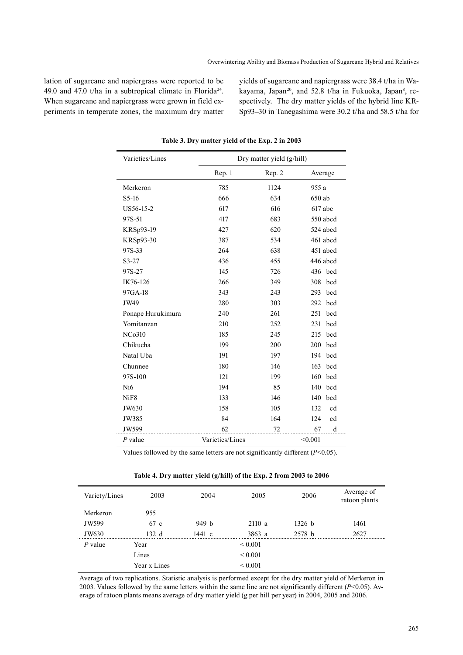lation of sugarcane and napiergrass were reported to be 49.0 and 47.0 t/ha in a subtropical climate in Florida<sup>24</sup>. When sugarcane and napiergrass were grown in field experiments in temperate zones, the maximum dry matter yields of sugarcane and napiergrass were 38.4 t/ha in Wakayama, Japan<sup>20</sup>, and 52.8 t/ha in Fukuoka, Japan<sup>8</sup>, respectively. The dry matter yields of the hybrid line KR-Sp93–30 in Tanegashima were 30.2 t/ha and 58.5 t/ha for

| Varieties/Lines   |                  | Dry matter yield (g/hill) |            |  |
|-------------------|------------------|---------------------------|------------|--|
|                   | Rep. 1<br>Rep. 2 |                           | Average    |  |
| Merkeron          | 785              | 1124                      | 955 a      |  |
| $S5-16$           | 666              | 634                       | 650 ab     |  |
| US56-15-2         | 617              | 616                       | $617$ abc  |  |
| 97S-51            | 417              | 683                       | 550 abcd   |  |
| KRSp93-19         | 427              | 620                       | 524 abcd   |  |
| KRSp93-30         | 387              | 534                       | 461 abcd   |  |
| 97S-33            | 264              | 638                       | 451 abcd   |  |
| $S3-27$           | 436              | 455                       | 446 abcd   |  |
| 97S-27            | 145              | 726                       | 436 bcd    |  |
| IK76-126          | 266              | 349                       | 308<br>bcd |  |
| 97GA-18           | 343              | 243                       | 293<br>bcd |  |
| JW49              | 280              | 303                       | 292<br>bcd |  |
| Ponape Hurukimura | 240              | 261                       | 251<br>bcd |  |
| Yomitanzan        | 210              | 252                       | 231<br>bcd |  |
| NCo310            | 185              | 245                       | bcd<br>215 |  |
| Chikucha          | 199              | 200                       | 200<br>bcd |  |
| Natal Uba         | 191              | 197                       | 194<br>bcd |  |
| Chunnee           | 180              | 146                       | 163<br>bcd |  |
| 97S-100           | 121              | 199                       | 160<br>bcd |  |
| Ni6               | 194              | 85                        | 140<br>bcd |  |
| NiF <sub>8</sub>  | 133              | 146                       | 140<br>bcd |  |
| JW630             | 158              | 105                       | 132<br>cd  |  |
| JW385             | 84               | 164                       | cd<br>124  |  |
| JW599             | 62               | 72                        | 67<br>d    |  |
| $P$ value         | Varieties/Lines  |                           | < 0.001    |  |

**Table 3. Dry matter yield of the Exp. 2 in 2003** 

Values followed by the same letters are not significantly different (*P*<0.05).

**Table 4. Dry matter yield (g/hill) of the Exp. 2 from 2003 to 2006**

| Variety/Lines | 2003         | 2004   | 2005         | 2006   | Average of<br>ratoon plants |
|---------------|--------------|--------|--------------|--------|-----------------------------|
| Merkeron      | 955          |        |              |        |                             |
| JW599         | 67 c         | 949 b  | 2110a        | 1326 b | 1461                        |
| JW630         | 132 d        | 1441 c | 3863a        | 2578h  | 2627                        |
| $P$ value     | Year         |        | ${}_{0.001}$ |        |                             |
|               | Lines        |        | ${}_{0.001}$ |        |                             |
|               | Year x Lines |        | ${}_{0.001}$ |        |                             |

Average of two replications. Statistic analysis is performed except for the dry matter yield of Merkeron in 2003. Values followed by the same letters within the same line are not significantly different  $(P<0.05)$ . Average of ratoon plants means average of dry matter yield (g per hill per year) in 2004, 2005 and 2006.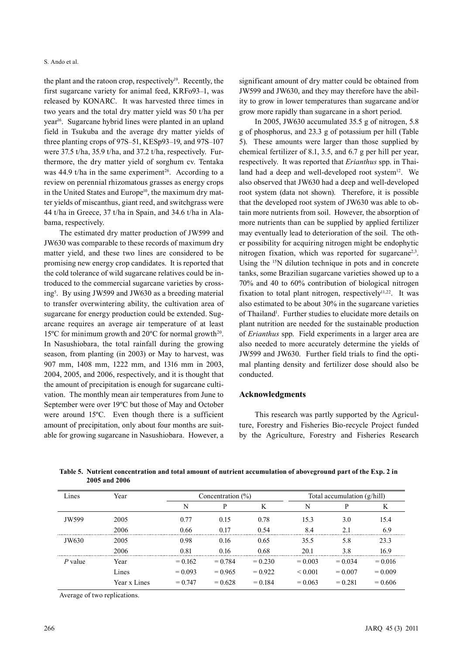the plant and the ratoon crop, respectively<sup>19</sup>. Recently, the first sugarcane variety for animal feed, KRFo93–1, was released by KONARC. It was harvested three times in two years and the total dry matter yield was 50 t/ha per year16. Sugarcane hybrid lines were planted in an upland field in Tsukuba and the average dry matter yields of three planting crops of 97S–51, KESp93–19, and 97S–107 were 37.5 t/ha, 35.9 t/ha, and 37.2 t/ha, respectively. Furthermore, the dry matter yield of sorghum cv. Tentaka was  $44.9$  t/ha in the same experiment<sup>26</sup>. According to a review on perennial rhizomatous grasses as energy crops in the United States and Europe<sup>10</sup>, the maximum dry matter yields of miscanthus, giant reed, and switchgrass were 44 t/ha in Greece, 37 t/ha in Spain, and 34.6 t/ha in Alabama, respectively.

The estimated dry matter production of JW599 and JW630 was comparable to these records of maximum dry matter yield, and these two lines are considered to be promising new energy crop candidates. It is reported that the cold tolerance of wild sugarcane relatives could be introduced to the commercial sugarcane varieties by crossing5 . By using JW599 and JW630 as a breeding material to transfer overwintering ability, the cultivation area of sugarcane for energy production could be extended. Sugarcane requires an average air temperature of at least 15 $^{\circ}$ C for minimum growth and 20 $^{\circ}$ C for normal growth<sup>20</sup>. In Nasushiobara, the total rainfall during the growing season, from planting (in 2003) or May to harvest, was 907 mm, 1408 mm, 1222 mm, and 1316 mm in 2003, 2004, 2005, and 2006, respectively, and it is thought that the amount of precipitation is enough for sugarcane cultivation. The monthly mean air temperatures from June to September were over 19ºC but those of May and October were around 15ºC. Even though there is a sufficient amount of precipitation, only about four months are suitable for growing sugarcane in Nasushiobara. However, a

significant amount of dry matter could be obtained from JW599 and JW630, and they may therefore have the ability to grow in lower temperatures than sugarcane and/or grow more rapidly than sugarcane in a short period.

In 2005, JW630 accumulated 35.5 g of nitrogen, 5.8 g of phosphorus, and 23.3 g of potassium per hill (Table 5). These amounts were larger than those supplied by chemical fertilizer of 8.1, 3.5, and 6.7 g per hill per year, respectively. It was reported that *Erianthus* spp. in Thailand had a deep and well-developed root system $^{12}$ . We also observed that JW630 had a deep and well-developed root system (data not shown). Therefore, it is possible that the developed root system of JW630 was able to obtain more nutrients from soil. However, the absorption of more nutrients than can be supplied by applied fertilizer may eventually lead to deterioration of the soil. The other possibility for acquiring nitrogen might be endophytic nitrogen fixation, which was reported for sugarcane<sup>2,3</sup>. Using the 15N dilution technique in pots and in concrete tanks, some Brazilian sugarcane varieties showed up to a 70% and 40 to 60% contribution of biological nitrogen fixation to total plant nitrogen, respectively<sup>11,22</sup>. It was also estimated to be about 30% in the sugarcane varieties of Thailand<sup>1</sup>. Further studies to elucidate more details on plant nutrition are needed for the sustainable production of *Erianthus* spp. Field experiments in a larger area are also needed to more accurately determine the yields of JW599 and JW630. Further field trials to find the optimal planting density and fertilizer dose should also be conducted.

# **Acknowledgments**

This research was partly supported by the Agriculture, Forestry and Fisheries Bio-recycle Project funded by the Agriculture, Forestry and Fisheries Research

| Lines   | Year         | Concentration $(\% )$ |           | Total accumulation (g/hill) |              |           |           |
|---------|--------------|-----------------------|-----------|-----------------------------|--------------|-----------|-----------|
|         |              | N                     | P         | K                           | N            | P         | K         |
| JW599   | 2005         | 0.77                  | 0.15      | 0.78                        | 15.3         | 3.0       | 15.4      |
|         | 2006         | 0.66                  | 0.17      | 0.54                        | 8.4          | 2.1       | 6.9       |
| JW630   | 2005         | 0.98                  | 0.16      | 0.65                        | 35.5         | 5.8       | 23.3      |
|         | 2006         | 0.81                  | 0.16      | 0.68                        | 20.1         | 3.8       | 16.9      |
| P value | Year         | $= 0.162$             | $= 0.784$ | $= 0.230$                   | $= 0.003$    | $= 0.034$ | $= 0.016$ |
|         | Lines        | $= 0.093$             | $= 0.965$ | $= 0.922$                   | ${}_{0.001}$ | $= 0.007$ | $= 0.009$ |
|         | Year x Lines | $= 0.747$             | $= 0.628$ | $= 0.184$                   | $= 0.063$    | $= 0.281$ | $= 0.606$ |

**Table 5. Nutrient concentration and total amount of nutrient accumulation of aboveground part of the Exp. 2 in 2005 and 2006**

Average of two replications.